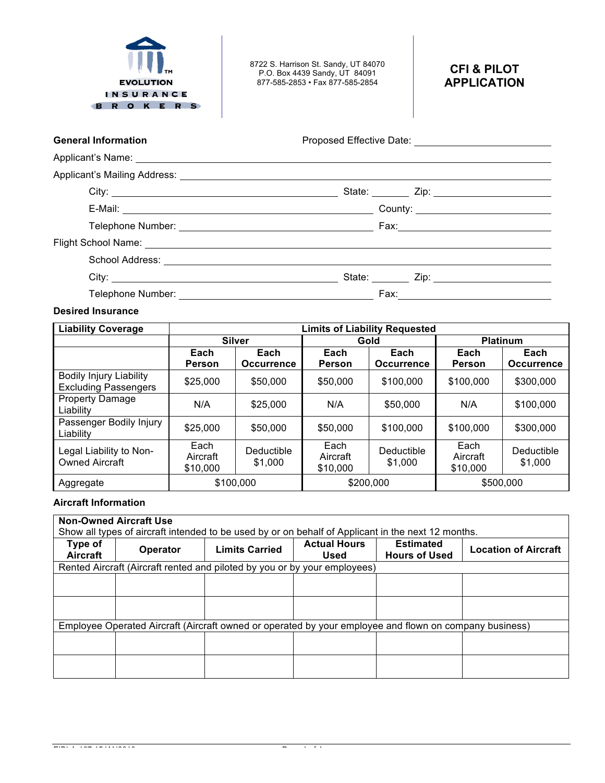

Applicant's Name:

8722 S. Harrison St. Sandy, UT 84070 P.O. Box 4439 Sandy, UT 84091 877-585-2853 • Fax 877-585-2854

# **CFI & PILOT APPLICATION**

General Information **General Information Proposed Effective Date:** 

| Applicant's Mailing Address: |  |  |
|------------------------------|--|--|
|                              |  |  |

| $\mu$ is produced in a manifest result of $\mu$ and $\mu$ . The contract of $\mu$ is a set of $\mu$ is a set of $\mu$ is a set of $\mu$ is a set of $\mu$ is a set of $\mu$ is a set of $\mu$ is a set of $\mu$ is a set of $\mu$ is a se |                                        |
|-------------------------------------------------------------------------------------------------------------------------------------------------------------------------------------------------------------------------------------------|----------------------------------------|
|                                                                                                                                                                                                                                           |                                        |
| E-Mail: <u>Andreas and American and American and American and American and American and American and American and American and American and American and American and American and American and American and American and Americ</u>      | County: ______________________________ |
|                                                                                                                                                                                                                                           |                                        |
|                                                                                                                                                                                                                                           |                                        |
|                                                                                                                                                                                                                                           |                                        |
| City:                                                                                                                                                                                                                                     |                                        |
|                                                                                                                                                                                                                                           |                                        |

## **Desired Insurance**

| <b>Liability Coverage</b>                                     | <b>Limits of Liability Requested</b> |                                                                          |                              |                       |                              |                       |
|---------------------------------------------------------------|--------------------------------------|--------------------------------------------------------------------------|------------------------------|-----------------------|------------------------------|-----------------------|
|                                                               |                                      | <b>Silver</b>                                                            |                              | Gold                  |                              | <b>Platinum</b>       |
|                                                               | Each<br><b>Person</b>                | Each<br>Each<br>Each<br><b>Occurrence</b><br><b>Occurrence</b><br>Person |                              | Each<br>Person        | Each<br><b>Occurrence</b>    |                       |
| <b>Bodily Injury Liability</b><br><b>Excluding Passengers</b> | \$25,000                             | \$50,000                                                                 | \$50,000                     | \$100,000             | \$100,000                    | \$300,000             |
| <b>Property Damage</b><br>Liability                           | N/A                                  | \$25,000                                                                 | N/A                          | \$50,000              | N/A                          | \$100,000             |
| Passenger Bodily Injury<br>Liability                          | \$25,000                             | \$50,000                                                                 | \$50,000                     | \$100,000             | \$100,000                    | \$300,000             |
| Legal Liability to Non-<br><b>Owned Aircraft</b>              | Each<br>Aircraft<br>\$10,000         | Deductible<br>\$1,000                                                    | Each<br>Aircraft<br>\$10,000 | Deductible<br>\$1,000 | Each<br>Aircraft<br>\$10,000 | Deductible<br>\$1,000 |
| Aggregate                                                     |                                      | \$100,000                                                                | \$200,000<br>\$500,000       |                       |                              |                       |

# **Aircraft Information**

| <b>Non-Owned Aircraft Use</b><br>Show all types of aircraft intended to be used by or on behalf of Applicant in the next 12 months. |                                                                                                        |                       |                                    |                                          |                             |  |
|-------------------------------------------------------------------------------------------------------------------------------------|--------------------------------------------------------------------------------------------------------|-----------------------|------------------------------------|------------------------------------------|-----------------------------|--|
| Type of<br>Aircraft                                                                                                                 | <b>Operator</b>                                                                                        | <b>Limits Carried</b> | <b>Actual Hours</b><br><b>Used</b> | <b>Estimated</b><br><b>Hours of Used</b> | <b>Location of Aircraft</b> |  |
|                                                                                                                                     | Rented Aircraft (Aircraft rented and piloted by you or by your employees)                              |                       |                                    |                                          |                             |  |
|                                                                                                                                     |                                                                                                        |                       |                                    |                                          |                             |  |
|                                                                                                                                     |                                                                                                        |                       |                                    |                                          |                             |  |
|                                                                                                                                     |                                                                                                        |                       |                                    |                                          |                             |  |
|                                                                                                                                     |                                                                                                        |                       |                                    |                                          |                             |  |
|                                                                                                                                     | Employee Operated Aircraft (Aircraft owned or operated by your employee and flown on company business) |                       |                                    |                                          |                             |  |
|                                                                                                                                     |                                                                                                        |                       |                                    |                                          |                             |  |
|                                                                                                                                     |                                                                                                        |                       |                                    |                                          |                             |  |
|                                                                                                                                     |                                                                                                        |                       |                                    |                                          |                             |  |
|                                                                                                                                     |                                                                                                        |                       |                                    |                                          |                             |  |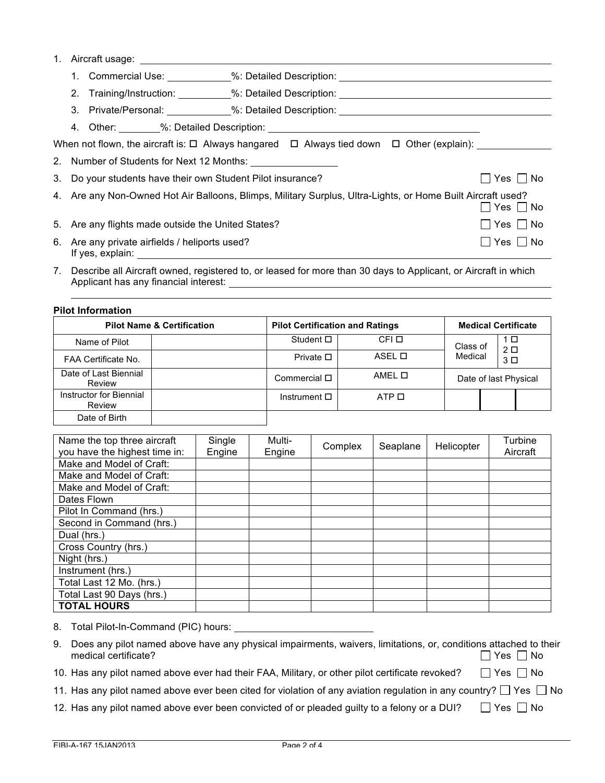### 1. Aircraft usage:

|                                                                                                                              |                                                                    | 1. Commercial Use: ___________%: Detailed Description: _________________________                                             |         |  |  |  |
|------------------------------------------------------------------------------------------------------------------------------|--------------------------------------------------------------------|------------------------------------------------------------------------------------------------------------------------------|---------|--|--|--|
|                                                                                                                              |                                                                    | 2. Training/Instruction: _________%: Detailed Description: _____________________                                             |         |  |  |  |
|                                                                                                                              |                                                                    | 3. Private/Personal: ____________%: Detailed Description: ______________________                                             |         |  |  |  |
|                                                                                                                              |                                                                    |                                                                                                                              |         |  |  |  |
|                                                                                                                              |                                                                    | When not flown, the aircraft is: $\square$ Always hangared $\;\;\square\;$ Always tied down $\;\;\square\;$ Other (explain): |         |  |  |  |
|                                                                                                                              |                                                                    |                                                                                                                              |         |  |  |  |
|                                                                                                                              | 3. Do your students have their own Student Pilot insurance?        |                                                                                                                              | Yes  No |  |  |  |
| 4. Are any Non-Owned Hot Air Balloons, Blimps, Military Surplus, Ultra-Lights, or Home Built Aircraft used?<br>$Yes \Box No$ |                                                                    |                                                                                                                              |         |  |  |  |
|                                                                                                                              | 5. Are any flights made outside the United States?                 |                                                                                                                              | Yes  No |  |  |  |
|                                                                                                                              | 6. Are any private airfields / heliports used?<br>If yes, explain: |                                                                                                                              | Yes  No |  |  |  |

7. Describe all Aircraft owned, registered to, or leased for more than 30 days to Applicant, or Aircraft in which Applicant has any financial interest:

**Pilot Information**

| <b>Pilot Name &amp; Certification</b> |  | <b>Pilot Certification and Ratings</b> | <b>Medical Certificate</b> |                       |  |                       |  |
|---------------------------------------|--|----------------------------------------|----------------------------|-----------------------|--|-----------------------|--|
| Name of Pilot                         |  | Student □                              | CFI O                      | Class of              |  | 1 □<br>2 <sub>D</sub> |  |
| FAA Certificate No.                   |  | Private $\square$                      | ASEL O                     | Medical               |  | 3 <sup>D</sup>        |  |
| Date of Last Biennial<br>Review       |  | Commercial $\square$                   | AMEL O                     | Date of last Physical |  |                       |  |
| Instructor for Biennial<br>Review     |  | Instrument $\square$                   | ATP O                      |                       |  |                       |  |
| Date of Birth                         |  |                                        |                            |                       |  |                       |  |

| Name the top three aircraft   | Single | Multi- |         |          |            | Turbine  |
|-------------------------------|--------|--------|---------|----------|------------|----------|
| you have the highest time in: | Engine | Engine | Complex | Seaplane | Helicopter | Aircraft |
| Make and Model of Craft:      |        |        |         |          |            |          |
| Make and Model of Craft:      |        |        |         |          |            |          |
| Make and Model of Craft:      |        |        |         |          |            |          |
| Dates Flown                   |        |        |         |          |            |          |
| Pilot In Command (hrs.)       |        |        |         |          |            |          |
| Second in Command (hrs.)      |        |        |         |          |            |          |
| Dual (hrs.)                   |        |        |         |          |            |          |
| Cross Country (hrs.)          |        |        |         |          |            |          |
| Night (hrs.)                  |        |        |         |          |            |          |
| Instrument (hrs.)             |        |        |         |          |            |          |
| Total Last 12 Mo. (hrs.)      |        |        |         |          |            |          |
| Total Last 90 Days (hrs.)     |        |        |         |          |            |          |
| <b>TOTAL HOURS</b>            |        |        |         |          |            |          |

8. Total Pilot-In-Command (PIC) hours:

| 9. Does any pilot named above have any physical impairments, waivers, limitations, or, conditions attached to their |                      |
|---------------------------------------------------------------------------------------------------------------------|----------------------|
| medical certificate?                                                                                                | $\Box$ Yes $\Box$ No |

- 10. Has any pilot named above ever had their FAA, Military, or other pilot certificate revoked?  $\Box$  Yes  $\Box$  No
- 11. Has any pilot named above ever been cited for violation of any aviation regulation in any country?  $\Box$  Yes  $\Box$  No
- 12. Has any pilot named above ever been convicted of or pleaded guilty to a felony or a DUI?  $\Box$  Yes  $\Box$  No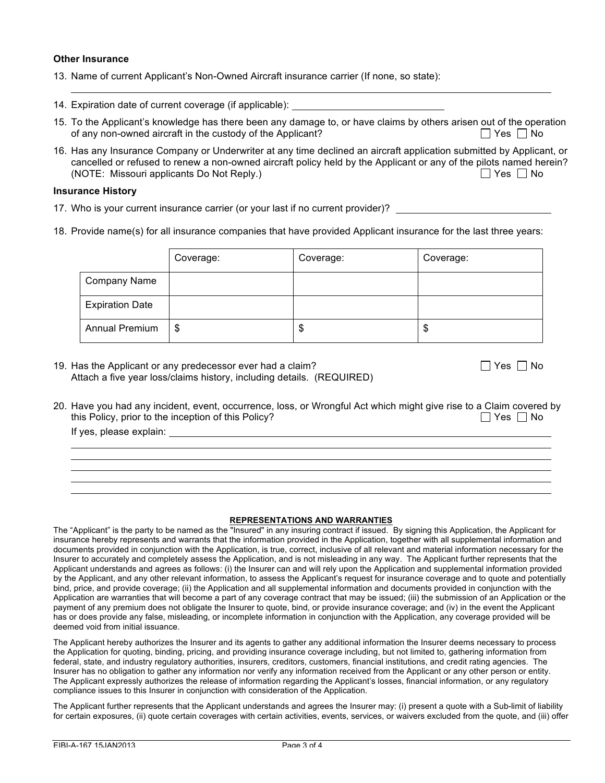#### **Other Insurance**

- 13. Name of current Applicant's Non-Owned Aircraft insurance carrier (If none, so state):
- 14. Expiration date of current coverage (if applicable):
- 15. To the Applicant's knowledge has there been any damage to, or have claims by others arisen out of the operation of any non-owned aircraft in the custody of the Applicant?  $\Box$  Yes  $\Box$  No
- 16. Has any Insurance Company or Underwriter at any time declined an aircraft application submitted by Applicant, or cancelled or refused to renew a non-owned aircraft policy held by the Applicant or any of the pilots named herein? (NOTE: Missouri applicants Do Not Reply.)  $\Box$  Yes  $\Box$  No

#### **Insurance History**

- 17. Who is your current insurance carrier (or your last if no current provider)?
- 18. Provide name(s) for all insurance companies that have provided Applicant insurance for the last three years:

|                        | Coverage: | Coverage: | Coverage: |
|------------------------|-----------|-----------|-----------|
| <b>Company Name</b>    |           |           |           |
| <b>Expiration Date</b> |           |           |           |
| <b>Annual Premium</b>  | \$        | จ         | Φ         |

19. Has the Applicant or any predecessor ever had a claim?  $\Box$  Yes  $\Box$  Yes  $\Box$  No Attach a five year loss/claims history, including details. (REQUIRED)

|  |  | N٢ |
|--|--|----|
|--|--|----|

20. Have you had any incident, event, occurrence, loss, or Wrongful Act which might give rise to a Claim covered by this Policy, prior to the inception of this Policy?  $\Box$  Yes  $\Box$  No

If yes, please explain:

#### **REPRESENTATIONS AND WARRANTIES**

The "Applicant" is the party to be named as the "Insured" in any insuring contract if issued. By signing this Application, the Applicant for insurance hereby represents and warrants that the information provided in the Application, together with all supplemental information and documents provided in conjunction with the Application, is true, correct, inclusive of all relevant and material information necessary for the Insurer to accurately and completely assess the Application, and is not misleading in any way. The Applicant further represents that the Applicant understands and agrees as follows: (i) the Insurer can and will rely upon the Application and supplemental information provided by the Applicant, and any other relevant information, to assess the Applicant's request for insurance coverage and to quote and potentially bind, price, and provide coverage; (ii) the Application and all supplemental information and documents provided in conjunction with the Application are warranties that will become a part of any coverage contract that may be issued; (iii) the submission of an Application or the payment of any premium does not obligate the Insurer to quote, bind, or provide insurance coverage; and (iv) in the event the Applicant has or does provide any false, misleading, or incomplete information in conjunction with the Application, any coverage provided will be deemed void from initial issuance.

The Applicant hereby authorizes the Insurer and its agents to gather any additional information the Insurer deems necessary to process the Application for quoting, binding, pricing, and providing insurance coverage including, but not limited to, gathering information from federal, state, and industry regulatory authorities, insurers, creditors, customers, financial institutions, and credit rating agencies. The Insurer has no obligation to gather any information nor verify any information received from the Applicant or any other person or entity. The Applicant expressly authorizes the release of information regarding the Applicant's losses, financial information, or any regulatory compliance issues to this Insurer in conjunction with consideration of the Application.

The Applicant further represents that the Applicant understands and agrees the Insurer may: (i) present a quote with a Sub-limit of liability for certain exposures, (ii) quote certain coverages with certain activities, events, services, or waivers excluded from the quote, and (iii) offer